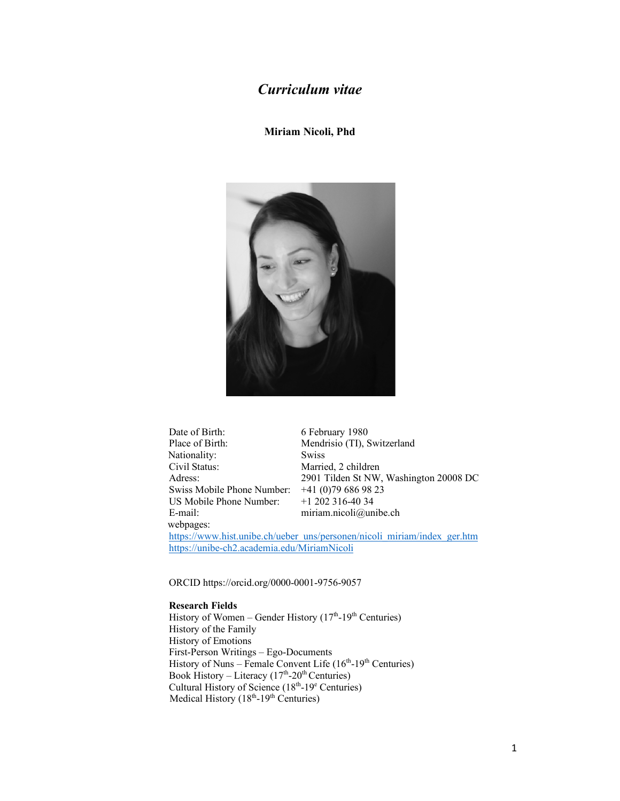# *Curriculum vitae*

**Miriam Nicoli, Phd**



Date of Birth: 6 February 1980 Place of Birth: Mendrisio (TI), Switzerland Nationality: Swiss Civil Status: Married, 2 children Adress: 2901 Tilden St NW, Washington 20008 DC<br>Swiss Mobile Phone Number: +41 (0)79 686 98 23 Swiss Mobile Phone Number: US Mobile Phone Number: +1 202 316-40 34 E-mail: miriam.nicoli@unibe.ch webpages: https://www.hist.unibe.ch/ueber\_uns/personen/nicoli\_miriam/index\_ger.htm https://unibe-ch2.academia.edu/MiriamNicoli

ORCID https://orcid.org/0000-0001-9756-9057

# **Research Fields**

History of Women – Gender History ( $17<sup>th</sup>$ -19<sup>th</sup> Centuries) History of the Family History of Emotions First-Person Writings – Ego-Documents History of Nuns – Female Convent Life  $(16<sup>th</sup>-19<sup>th</sup>$  Centuries) Book History – Literacy  $(17<sup>th</sup> - 20<sup>th</sup>$  Centuries) Cultural History of Science  $(18<sup>th</sup>-19<sup>e</sup>$  Centuries) Medical History  $(18<sup>th</sup>-19<sup>th</sup>$  Centuries)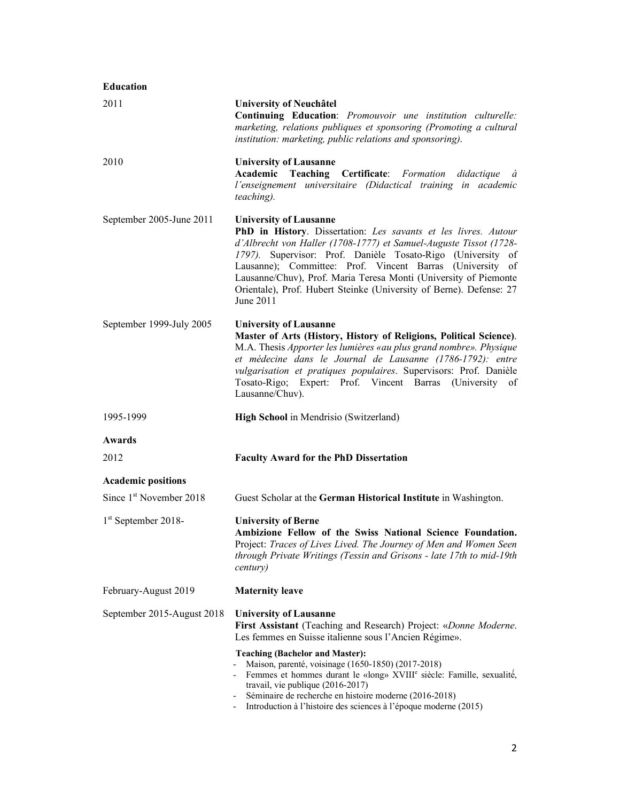| <b>Education</b>                    |                                                                                                                                                                                                                                                                                                                                                                                                                                                           |
|-------------------------------------|-----------------------------------------------------------------------------------------------------------------------------------------------------------------------------------------------------------------------------------------------------------------------------------------------------------------------------------------------------------------------------------------------------------------------------------------------------------|
| 2011                                | <b>University of Neuchâtel</b><br>Continuing Education: Promouvoir une institution culturelle:<br>marketing, relations publiques et sponsoring (Promoting a cultural<br>institution: marketing, public relations and sponsoring).                                                                                                                                                                                                                         |
| 2010                                | <b>University of Lausanne</b><br>Certificate: Formation didactique<br><b>Academic</b> Teaching<br>à<br>l'enseignement universitaire (Didactical training in academic<br>teaching).                                                                                                                                                                                                                                                                        |
| September 2005-June 2011            | <b>University of Lausanne</b><br>PhD in History. Dissertation: Les savants et les livres. Autour<br>d'Albrecht von Haller (1708-1777) et Samuel-Auguste Tissot (1728-<br>1797). Supervisor: Prof. Danièle Tosato-Rigo (University of<br>Lausanne); Committee: Prof. Vincent Barras (University of<br>Lausanne/Chuv), Prof. Maria Teresa Monti (University of Piemonte<br>Orientale), Prof. Hubert Steinke (University of Berne). Defense: 27<br>June 2011 |
| September 1999-July 2005            | <b>University of Lausanne</b><br>Master of Arts (History, History of Religions, Political Science).<br>M.A. Thesis Apporter les lumières «au plus grand nombre». Physique<br>et médecine dans le Journal de Lausanne (1786-1792): entre<br>vulgarisation et pratiques populaires. Supervisors: Prof. Danièle<br>Tosato-Rigo; Expert: Prof. Vincent Barras (University of<br>Lausanne/Chuv).                                                               |
| 1995-1999                           | High School in Mendrisio (Switzerland)                                                                                                                                                                                                                                                                                                                                                                                                                    |
| Awards                              |                                                                                                                                                                                                                                                                                                                                                                                                                                                           |
| 2012                                | <b>Faculty Award for the PhD Dissertation</b>                                                                                                                                                                                                                                                                                                                                                                                                             |
| <b>Academic positions</b>           |                                                                                                                                                                                                                                                                                                                                                                                                                                                           |
| Since 1 <sup>st</sup> November 2018 | Guest Scholar at the German Historical Institute in Washington.                                                                                                                                                                                                                                                                                                                                                                                           |
| $1st$ September 2018-               | <b>University of Berne</b><br>Ambizione Fellow of the Swiss National Science Foundation.<br>Project: Traces of Lives Lived. The Journey of Men and Women Seen<br>through Private Writings (Tessin and Grisons - late 17th to mid-19th<br>century)                                                                                                                                                                                                         |
| February-August 2019                | <b>Maternity leave</b>                                                                                                                                                                                                                                                                                                                                                                                                                                    |
| September 2015-August 2018          | <b>University of Lausanne</b><br>First Assistant (Teaching and Research) Project: «Donne Moderne.<br>Les femmes en Suisse italienne sous l'Ancien Régime».                                                                                                                                                                                                                                                                                                |
|                                     | <b>Teaching (Bachelor and Master):</b><br>Maison, parenté, voisinage (1650-1850) (2017-2018)<br>Femmes et hommes durant le «long» XVIII <sup>e</sup> siècle: Famille, sexualité,<br>travail, vie publique (2016-2017)<br>Séminaire de recherche en histoire moderne (2016-2018)<br>Introduction à l'histoire des sciences à l'époque moderne (2015)                                                                                                       |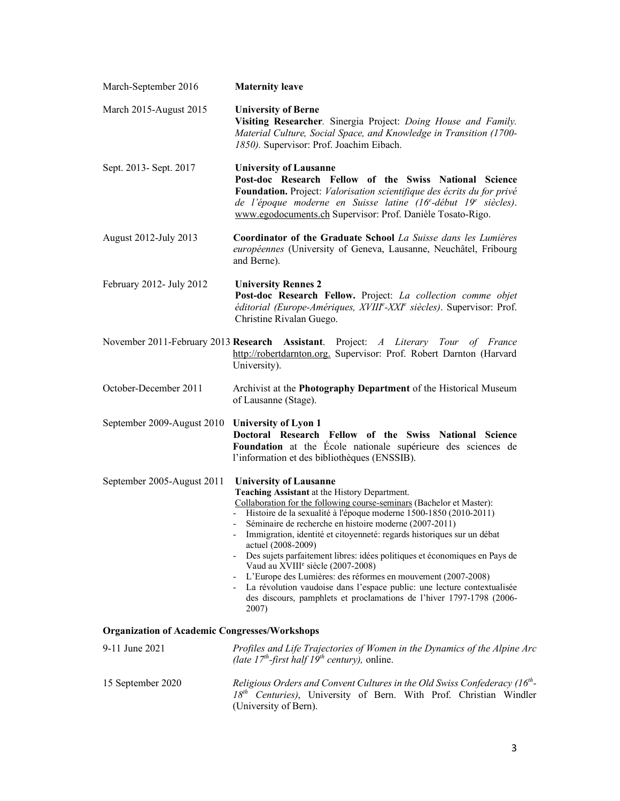| March-September 2016                                 | <b>Maternity leave</b>                                                                                                                                                                                                                                                                                                                                                                                                                                                                                                                                                                                                                                                                                                                                |
|------------------------------------------------------|-------------------------------------------------------------------------------------------------------------------------------------------------------------------------------------------------------------------------------------------------------------------------------------------------------------------------------------------------------------------------------------------------------------------------------------------------------------------------------------------------------------------------------------------------------------------------------------------------------------------------------------------------------------------------------------------------------------------------------------------------------|
| March 2015-August 2015                               | <b>University of Berne</b><br>Visiting Researcher. Sinergia Project: Doing House and Family.<br>Material Culture, Social Space, and Knowledge in Transition (1700-<br>1850). Supervisor: Prof. Joachim Eibach.                                                                                                                                                                                                                                                                                                                                                                                                                                                                                                                                        |
| Sept. 2013- Sept. 2017                               | <b>University of Lausanne</b><br>Post-doc Research Fellow of the Swiss National Science<br>Foundation. Project: Valorisation scientifique des écrits du for privé<br>de l'époque moderne en Suisse latine (16 <sup>e</sup> -début 19 <sup>e</sup> siècles).<br>www.egodocuments.ch Supervisor: Prof. Danièle Tosato-Rigo.                                                                                                                                                                                                                                                                                                                                                                                                                             |
| August 2012-July 2013                                | Coordinator of the Graduate School La Suisse dans les Lumières<br>européennes (University of Geneva, Lausanne, Neuchâtel, Fribourg<br>and Berne).                                                                                                                                                                                                                                                                                                                                                                                                                                                                                                                                                                                                     |
| February 2012- July 2012                             | <b>University Rennes 2</b><br>Post-doc Research Fellow. Project: La collection comme objet<br>éditorial (Europe-Amériques, XVIII <sup>e</sup> -XXI <sup>e</sup> siècles). Supervisor: Prof.<br>Christine Rivalan Guego.                                                                                                                                                                                                                                                                                                                                                                                                                                                                                                                               |
|                                                      | November 2011-February 2013 Research Assistant. Project: A Literary Tour of France<br>http://robertdarnton.org. Supervisor: Prof. Robert Darnton (Harvard<br>University).                                                                                                                                                                                                                                                                                                                                                                                                                                                                                                                                                                             |
| October-December 2011                                | Archivist at the Photography Department of the Historical Museum<br>of Lausanne (Stage).                                                                                                                                                                                                                                                                                                                                                                                                                                                                                                                                                                                                                                                              |
| September 2009-August 2010                           | University of Lyon 1<br>Doctoral Research Fellow of the Swiss National Science<br>Foundation at the École nationale supérieure des sciences de<br>l'information et des bibliothèques (ENSSIB).                                                                                                                                                                                                                                                                                                                                                                                                                                                                                                                                                        |
| September 2005-August 2011                           | <b>University of Lausanne</b><br>Teaching Assistant at the History Department.<br>Collaboration for the following course-seminars (Bachelor et Master):<br>- Histoire de la sexualité à l'époque moderne 1500-1850 (2010-2011)<br>Séminaire de recherche en histoire moderne (2007-2011)<br>Immigration, identité et citoyenneté: regards historiques sur un débat<br>actuel (2008-2009)<br>Des sujets parfaitement libres: idées politiques et économiques en Pays de<br>Vaud au XVIII <sup>e</sup> siècle (2007-2008)<br>- L'Europe des Lumières: des réformes en mouvement (2007-2008)<br>La révolution vaudoise dans l'espace public: une lecture contextualisée<br>des discours, pamphlets et proclamations de l'hiver 1797-1798 (2006-<br>2007) |
| <b>Organization of Academic Congresses/Workshops</b> |                                                                                                                                                                                                                                                                                                                                                                                                                                                                                                                                                                                                                                                                                                                                                       |
| 9-11 June 2021                                       | Profiles and Life Trajectories of Women in the Dynamics of the Alpine Arc<br>(late $17^{th}$ -first half $19^{th}$ century), online.                                                                                                                                                                                                                                                                                                                                                                                                                                                                                                                                                                                                                  |
| 15 September 2020                                    | Religious Orders and Convent Cultures in the Old Swiss Confederacy $(16th -$<br>18th Centuries), University of Bern. With Prof. Christian Windler<br>(University of Bern).                                                                                                                                                                                                                                                                                                                                                                                                                                                                                                                                                                            |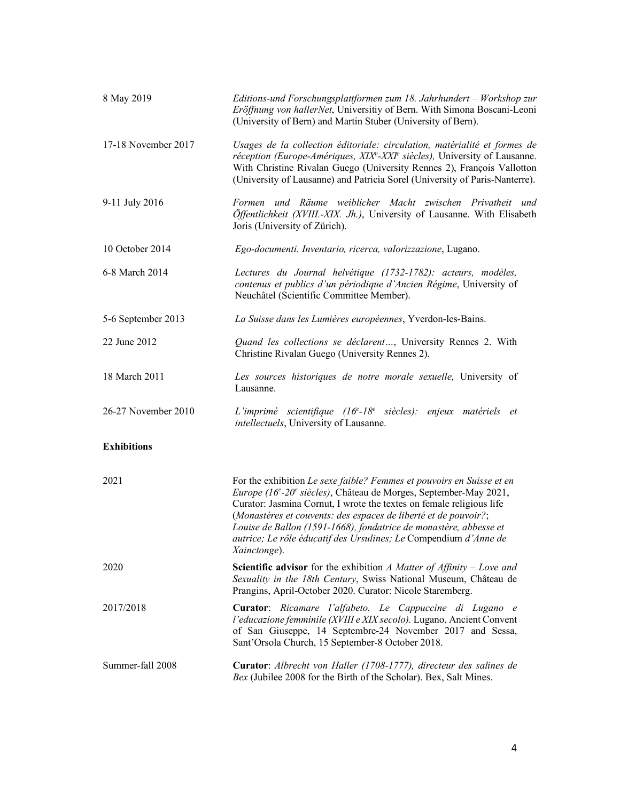| 8 May 2019          | Editions-und Forschungsplattformen zum 18. Jahrhundert – Workshop zur<br>Eröffnung von hallerNet, Universitiy of Bern. With Simona Boscani-Leoni<br>(University of Bern) and Martin Stuber (University of Bern).                                                                                                                                                                                                                                                       |
|---------------------|------------------------------------------------------------------------------------------------------------------------------------------------------------------------------------------------------------------------------------------------------------------------------------------------------------------------------------------------------------------------------------------------------------------------------------------------------------------------|
| 17-18 November 2017 | Usages de la collection éditoriale: circulation, matérialité et formes de<br>réception (Europe-Amériques, XIX <sup>e</sup> -XXI <sup>e</sup> siècles), University of Lausanne.<br>With Christine Rivalan Guego (University Rennes 2), François Vallotton<br>(University of Lausanne) and Patricia Sorel (University of Paris-Nanterre).                                                                                                                                |
| 9-11 July 2016      | Formen und Räume weiblicher Macht zwischen Privatheit und<br>Öffentlichkeit (XVIII.-XIX. Jh.), University of Lausanne. With Elisabeth<br>Joris (University of Zürich).                                                                                                                                                                                                                                                                                                 |
| 10 October 2014     | Ego-documenti. Inventario, ricerca, valorizzazione, Lugano.                                                                                                                                                                                                                                                                                                                                                                                                            |
| 6-8 March 2014      | Lectures du Journal helvétique (1732-1782): acteurs, modèles,<br>contenus et publics d'un périodique d'Ancien Régime, University of<br>Neuchâtel (Scientific Committee Member).                                                                                                                                                                                                                                                                                        |
| 5-6 September 2013  | La Suisse dans les Lumières européennes, Yverdon-les-Bains.                                                                                                                                                                                                                                                                                                                                                                                                            |
| 22 June 2012        | Quand les collections se déclarent, University Rennes 2. With<br>Christine Rivalan Guego (University Rennes 2).                                                                                                                                                                                                                                                                                                                                                        |
| 18 March 2011       | Les sources historiques de notre morale sexuelle, University of<br>Lausanne.                                                                                                                                                                                                                                                                                                                                                                                           |
| 26-27 November 2010 | L'imprimé scientifique (16 <sup>e</sup> -18 <sup>e</sup> siècles): enjeux matériels et<br>intellectuels, University of Lausanne.                                                                                                                                                                                                                                                                                                                                       |
| <b>Exhibitions</b>  |                                                                                                                                                                                                                                                                                                                                                                                                                                                                        |
| 2021                | For the exhibition Le sexe faible? Femmes et pouvoirs en Suisse et en<br>Europe (16 <sup>e</sup> -20 <sup>e</sup> siècles), Château de Morges, September-May 2021,<br>Curator: Jasmina Cornut, I wrote the textes on female religious life<br>(Monastères et couvents: des espaces de liberté et de pouvoir?;<br>Louise de Ballon (1591-1668), fondatrice de monastère, abbesse et<br>autrice; Le rôle éducatif des Ursulines; Le Compendium d'Anne de<br>Xainctonge). |
| 2020                | <b>Scientific advisor</b> for the exhibition A Matter of Affinity – Love and<br>Sexuality in the 18th Century, Swiss National Museum, Château de<br>Prangins, April-October 2020. Curator: Nicole Staremberg.                                                                                                                                                                                                                                                          |
| 2017/2018           | Curator: Ricamare l'alfabeto. Le Cappuccine di Lugano e<br>l'educazione femminile (XVIII e XIX secolo). Lugano, Ancient Convent<br>of San Giuseppe, 14 Septembre-24 November 2017 and Sessa,<br>Sant'Orsola Church, 15 September-8 October 2018.                                                                                                                                                                                                                       |
| Summer-fall 2008    | Curator: Albrecht von Haller (1708-1777), directeur des salines de<br>Bex (Jubilee 2008 for the Birth of the Scholar). Bex, Salt Mines.                                                                                                                                                                                                                                                                                                                                |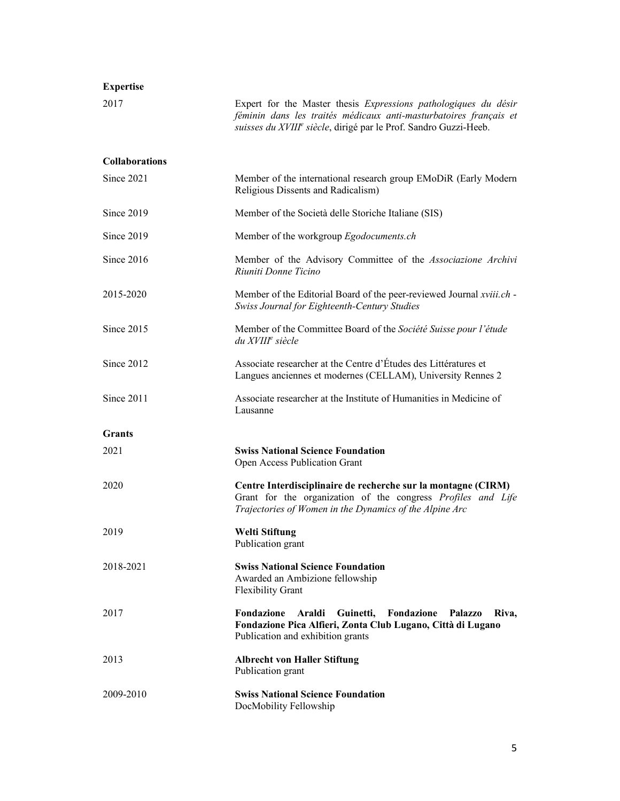| <b>Expertise</b>      |                                                                                                                                                                                                                      |
|-----------------------|----------------------------------------------------------------------------------------------------------------------------------------------------------------------------------------------------------------------|
| 2017                  | Expert for the Master thesis Expressions pathologiques du désir<br>féminin dans les traités médicaux anti-masturbatoires français et<br>suisses du XVIII <sup>e</sup> siècle, dirigé par le Prof. Sandro Guzzi-Heeb. |
| <b>Collaborations</b> |                                                                                                                                                                                                                      |
| Since 2021            | Member of the international research group EMoDiR (Early Modern<br>Religious Dissents and Radicalism)                                                                                                                |
| Since 2019            | Member of the Società delle Storiche Italiane (SIS)                                                                                                                                                                  |
| Since 2019            | Member of the workgroup Egodocuments.ch                                                                                                                                                                              |
| Since 2016            | Member of the Advisory Committee of the Associazione Archivi<br>Riuniti Donne Ticino                                                                                                                                 |
| 2015-2020             | Member of the Editorial Board of the peer-reviewed Journal xviii.ch -<br>Swiss Journal for Eighteenth-Century Studies                                                                                                |
| Since 2015            | Member of the Committee Board of the Société Suisse pour l'étude<br>du XVIIIe siècle                                                                                                                                 |
| Since 2012            | Associate researcher at the Centre d'Études des Littératures et<br>Langues anciennes et modernes (CELLAM), University Rennes 2                                                                                       |
| Since 2011            | Associate researcher at the Institute of Humanities in Medicine of<br>Lausanne                                                                                                                                       |
| <b>Grants</b>         |                                                                                                                                                                                                                      |
| 2021                  | <b>Swiss National Science Foundation</b><br>Open Access Publication Grant                                                                                                                                            |
| 2020                  | Centre Interdisciplinaire de recherche sur la montagne (CIRM)<br>Grant for the organization of the congress Profiles and Life<br>Trajectories of Women in the Dynamics of the Alpine Arc                             |
| 2019                  | Welti Stiftung<br>Publication grant                                                                                                                                                                                  |
| 2018-2021             | <b>Swiss National Science Foundation</b><br>Awarded an Ambizione fellowship<br><b>Flexibility Grant</b>                                                                                                              |
| 2017                  | Fondazione<br>Araldi<br>Guinetti,<br>Fondazione<br>Palazzo<br>Riva,<br>Fondazione Pica Alfieri, Zonta Club Lugano, Città di Lugano<br>Publication and exhibition grants                                              |
| 2013                  | <b>Albrecht von Haller Stiftung</b><br>Publication grant                                                                                                                                                             |
| 2009-2010             | <b>Swiss National Science Foundation</b><br>DocMobility Fellowship                                                                                                                                                   |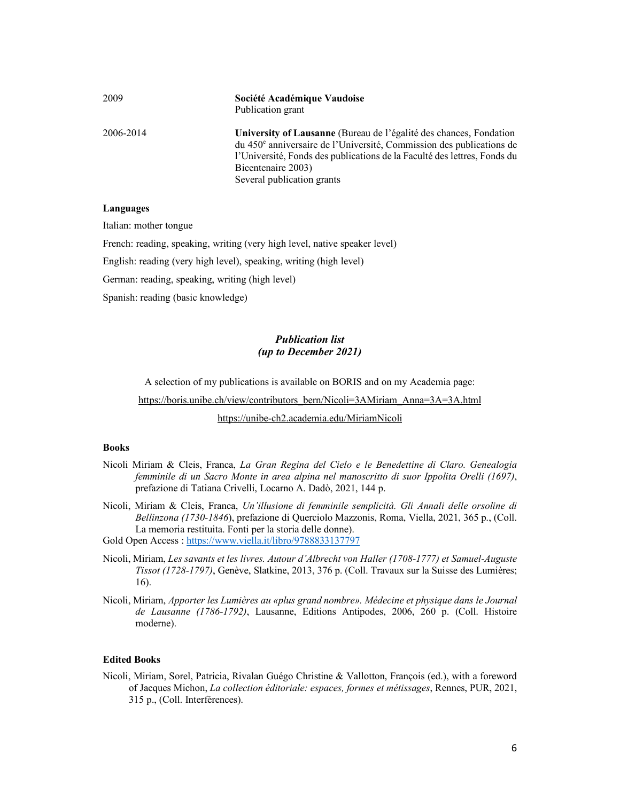| 2009      | Société Académique Vaudoise<br>Publication grant                                                                                                                                                                                                                                       |
|-----------|----------------------------------------------------------------------------------------------------------------------------------------------------------------------------------------------------------------------------------------------------------------------------------------|
| 2006-2014 | University of Lausanne (Bureau de l'égalité des chances, Fondation<br>du 450 <sup>e</sup> anniversaire de l'Université, Commission des publications de<br>l'Université, Fonds des publications de la Faculté des lettres, Fonds du<br>Bicentenaire 2003)<br>Several publication grants |

#### **Languages**

Italian: mother tongue

French: reading, speaking, writing (very high level, native speaker level)

English: reading (very high level), speaking, writing (high level)

German: reading, speaking, writing (high level)

Spanish: reading (basic knowledge)

# *Publication list (up to December 2021)*

A selection of my publications is available on BORIS and on my Academia page:

https://boris.unibe.ch/view/contributors\_bern/Nicoli=3AMiriam\_Anna=3A=3A.html

#### https://unibe-ch2.academia.edu/MiriamNicoli

#### **Books**

- Nicoli Miriam & Cleis, Franca, *La Gran Regina del Cielo e le Benedettine di Claro. Genealogia femminile di un Sacro Monte in area alpina nel manoscritto di suor Ippolita Orelli (1697)*, prefazione di Tatiana Crivelli, Locarno A. Dadò, 2021, 144 p.
- Nicoli, Miriam & Cleis, Franca, *Un'illusione di femminile semplicità. Gli Annali delle orsoline di Bellinzona (1730-1846*), prefazione di Querciolo Mazzonis, Roma, Viella, 2021, 365 p., (Coll. La memoria restituita. Fonti per la storia delle donne).

Gold Open Access : https://www.viella.it/libro/9788833137797

- Nicoli, Miriam, *Les savants et les livres. Autour d'Albrecht von Haller (1708-1777) et Samuel-Auguste Tissot (1728-1797)*, Genève, Slatkine, 2013, 376 p. (Coll. Travaux sur la Suisse des Lumières; 16).
- Nicoli, Miriam, *Apporter les Lumières au «plus grand nombre». Médecine et physique dans le Journal de Lausanne (1786-1792)*, Lausanne, Editions Antipodes, 2006, 260 p. (Coll. Histoire moderne).

#### **Edited Books**

Nicoli, Miriam, Sorel, Patricia, Rivalan Guégo Christine & Vallotton, François (ed.), with a foreword of Jacques Michon, *La collection éditoriale: espaces, formes et métissages*, Rennes, PUR, 2021, 315 p., (Coll. Interférences).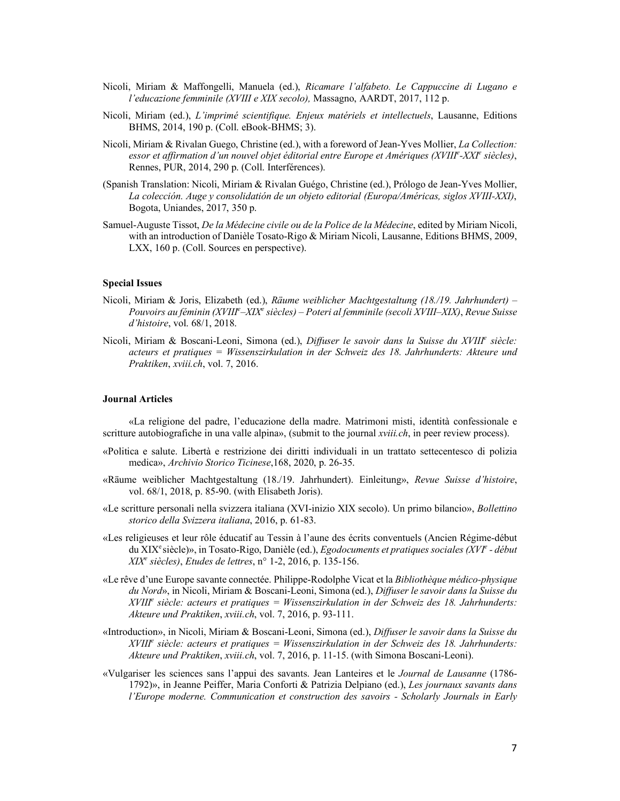- Nicoli, Miriam & Maffongelli, Manuela (ed.), *Ricamare l'alfabeto. Le Cappuccine di Lugano e l'educazione femminile (XVIII e XIX secolo),* Massagno, AARDT, 2017, 112 p.
- Nicoli, Miriam (ed.), *L'imprimé scientifique. Enjeux matériels et intellectuels*, Lausanne, Editions BHMS, 2014, 190 p. (Coll. eBook-BHMS; 3).
- Nicoli, Miriam & Rivalan Guego, Christine (ed.), with a foreword of Jean-Yves Mollier, *La Collection: essor et affirmation d'un nouvel objet éditorial entre Europe et Amériques (XVIIIe -XXI <sup>e</sup> siècles)*, Rennes, PUR, 2014, 290 p. (Coll. Interférences).
- (Spanish Translation: Nicoli, Miriam & Rivalan Guégo, Christine (ed.), Prólogo de Jean-Yves Mollier, *La colección. Auge y consolidatión de un objeto editorial (Europa/Américas, siglos XVIII-XXI)*, Bogota, Uniandes, 2017, 350 p.
- Samuel-Auguste Tissot, *De la Médecine civile ou de la Police de la Médecine*, edited by Miriam Nicoli, with an introduction of Danièle Tosato-Rigo & Miriam Nicoli, Lausanne, Editions BHMS, 2009, LXX, 160 p. (Coll. Sources en perspective).

### **Special Issues**

- Nicoli, Miriam & Joris, Elizabeth (ed.), *Räume weiblicher Machtgestaltung (18./19. Jahrhundert) – Pouvoirs au féminin (XVIIIe –XIXe siècles) – Poteri al femminile (secoli XVIII–XIX)*, *Revue Suisse d'histoire*, vol. 68/1, 2018.
- Nicoli, Miriam & Boscani-Leoni, Simona (ed.), *Diffuser le savoir dans la Suisse du XVIIIe siècle: acteurs et pratiques = Wissenszirkulation in der Schweiz des 18. Jahrhunderts: Akteure und Praktiken*, *xviii.ch*, vol. 7, 2016.

#### **Journal Articles**

«La religione del padre, l'educazione della madre. Matrimoni misti, identità confessionale e scritture autobiografiche in una valle alpina», (submit to the journal *xviii.ch*, in peer review process).

- «Politica e salute. Libertà e restrizione dei diritti individuali in un trattato settecentesco di polizia medica», *Archivio Storico Ticinese*,168, 2020, p. 26-35.
- «Räume weiblicher Machtgestaltung (18./19. Jahrhundert). Einleitung», *Revue Suisse d'histoire*, vol. 68/1, 2018, p. 85-90. (with Elisabeth Joris).
- «Le scritture personali nella svizzera italiana (XVI-inizio XIX secolo). Un primo bilancio», *Bollettino storico della Svizzera italiana*, 2016, p. 61-83.
- «Les religieuses et leur rôle éducatif au Tessin à l'aune des écrits conventuels (Ancien Régime-début du XIXe siècle)», in Tosato-Rigo, Danièle (ed.), *Egodocuments et pratiques sociales (XVIe - début XIXe siècles)*, *Etudes de lettres*, n° 1-2, 2016, p. 135-156.
- «Le rêve d'une Europe savante connectée. Philippe-Rodolphe Vicat et la *Bibliothèque médico-physique du Nord*», in Nicoli, Miriam & Boscani-Leoni, Simona (ed.), *Diffuser le savoir dans la Suisse du XVIIIe siècle: acteurs et pratiques = Wissenszirkulation in der Schweiz des 18. Jahrhunderts: Akteure und Praktiken*, *xviii.ch*, vol. 7, 2016, p. 93-111.
- «Introduction», in Nicoli, Miriam & Boscani-Leoni, Simona (ed.), *Diffuser le savoir dans la Suisse du XVIIIe siècle: acteurs et pratiques = Wissenszirkulation in der Schweiz des 18. Jahrhunderts: Akteure und Praktiken*, *xviii.ch*, vol. 7, 2016, p. 11-15. (with Simona Boscani-Leoni).
- «Vulgariser les sciences sans l'appui des savants. Jean Lanteires et le *Journal de Lausanne* (1786- 1792)», in Jeanne Peiffer, Maria Conforti & Patrizia Delpiano (ed.), *Les journaux savants dans l'Europe moderne. Communication et construction des savoirs - Scholarly Journals in Early*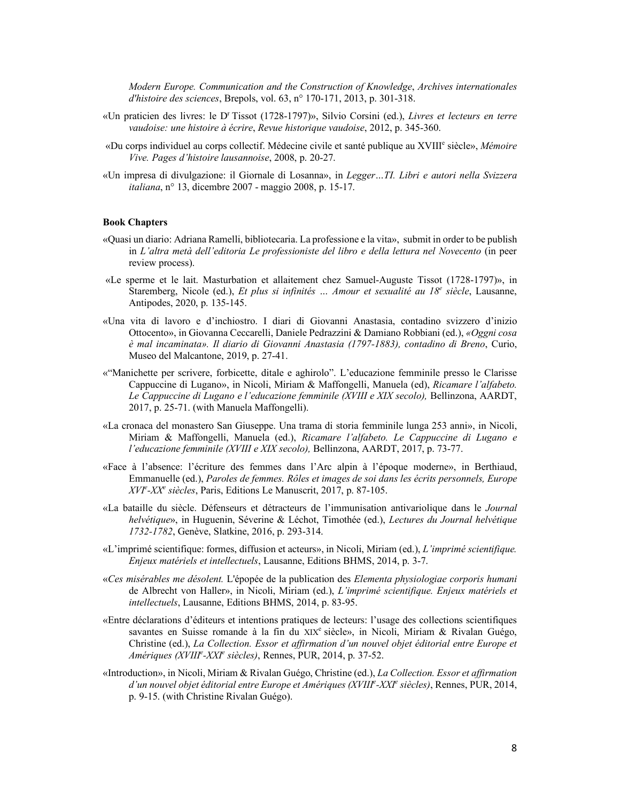*Modern Europe. Communication and the Construction of Knowledge*, *Archives internationales d'histoire des sciences*, Brepols, vol. 63, n° 170-171, 2013, p. 301-318.

- «Un praticien des livres: le Dr Tissot (1728-1797)», Silvio Corsini (ed.), *Livres et lecteurs en terre vaudoise: une histoire à écrire*, *Revue historique vaudoise*, 2012, p. 345-360.
- «Du corps individuel au corps collectif. Médecine civile et santé publique au XVIIIe siècle», *Mémoire Vive. Pages d'histoire lausannoise*, 2008, p. 20-27.
- «Un impresa di divulgazione: il Giornale di Losanna», in *Legger…TI. Libri e autori nella Svizzera italiana*, n° 13, dicembre 2007 - maggio 2008, p. 15-17.

#### **Book Chapters**

- «Quasi un diario: Adriana Ramelli, bibliotecaria. La professione e la vita», submit in order to be publish in *L'altra metà dell'editoria Le professioniste del libro e della lettura nel Novecento* (in peer review process).
- «Le sperme et le lait. Masturbation et allaitement chez Samuel-Auguste Tissot (1728-1797)», in Staremberg, Nicole (ed.), *Et plus si infinités … Amour et sexualité au 18<sup>e</sup> siècle*, Lausanne, Antipodes, 2020, p. 135-145.
- «Una vita di lavoro e d'inchiostro. I diari di Giovanni Anastasia, contadino svizzero d'inizio Ottocento», in Giovanna Ceccarelli, Daniele Pedrazzini & Damiano Robbiani (ed.), *«Oggni cosa è mal incaminata». Il diario di Giovanni Anastasia (1797-1883), contadino di Breno*, Curio, Museo del Malcantone, 2019, p. 27-41.
- «"Manichette per scrivere, forbicette, ditale e aghirolo". L'educazione femminile presso le Clarisse Cappuccine di Lugano», in Nicoli, Miriam & Maffongelli, Manuela (ed), *Ricamare l'alfabeto. Le Cappuccine di Lugano e l'educazione femminile (XVIII e XIX secolo),* Bellinzona, AARDT, 2017, p. 25-71. (with Manuela Maffongelli).
- «La cronaca del monastero San Giuseppe. Una trama di storia femminile lunga 253 anni», in Nicoli, Miriam & Maffongelli, Manuela (ed.), *Ricamare l'alfabeto. Le Cappuccine di Lugano e l'educazione femminile (XVIII e XIX secolo),* Bellinzona, AARDT, 2017, p. 73-77.
- «Face à l'absence: l'écriture des femmes dans l'Arc alpin à l'époque moderne», in Berthiaud, Emmanuelle (ed.), *Paroles de femmes. Rôles et images de soi dans les écrits personnels, Europe XVIe -XXe siècles*, Paris, Editions Le Manuscrit, 2017, p. 87-105.
- «La bataille du siècle. Défenseurs et détracteurs de l'immunisation antivariolique dans le *Journal helvétique*», in Huguenin, Séverine & Léchot, Timothée (ed.), *Lectures du Journal helvétique 1732-1782*, Genève, Slatkine, 2016, p. 293-314.
- «L'imprimé scientifique: formes, diffusion et acteurs», in Nicoli, Miriam (ed.), *L'imprimé scientifique. Enjeux matériels et intellectuels*, Lausanne, Editions BHMS, 2014, p. 3-7.
- «*Ces misérables me désolent.* L'épopée de la publication des *Elementa physiologiae corporis humani* de Albrecht von Haller», in Nicoli, Miriam (ed.), *L'imprimé scientifique. Enjeux matériels et intellectuels*, Lausanne, Editions BHMS, 2014, p. 83-95.
- «Entre déclarations d'éditeurs et intentions pratiques de lecteurs: l'usage des collections scientifiques savantes en Suisse romande à la fin du XIX<sup>e</sup> siècle», in Nicoli, Miriam & Rivalan Guégo, Christine (ed.), *La Collection. Essor et affirmation d'un nouvel objet éditorial entre Europe et Amériques (XVIIIe -XXIe siècles)*, Rennes, PUR, 2014, p. 37-52.
- «Introduction», in Nicoli, Miriam & Rivalan Guégo, Christine (ed.), *La Collection. Essor et affirmation d'un nouvel objet éditorial entre Europe et Amériques (XVIIIe -XXIe siècles)*, Rennes, PUR, 2014, p. 9-15. (with Christine Rivalan Guégo).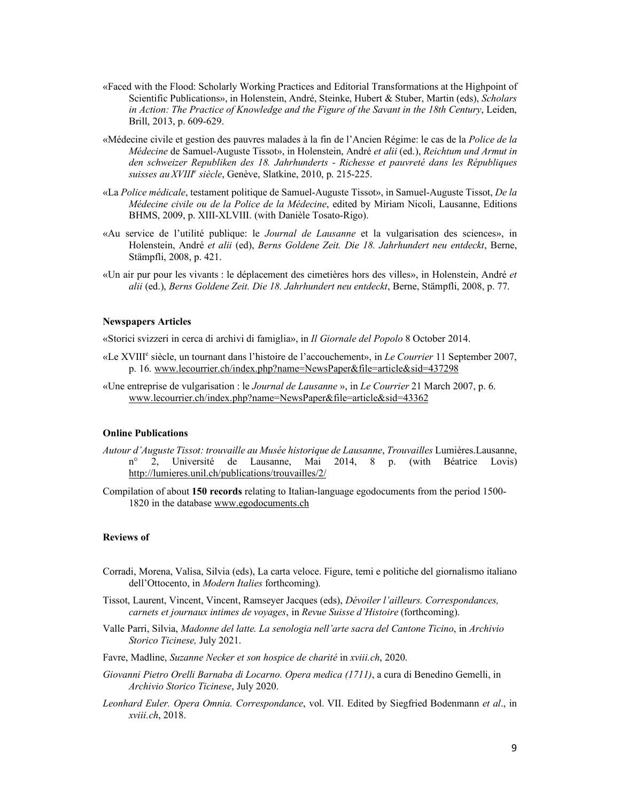- «Faced with the Flood: Scholarly Working Practices and Editorial Transformations at the Highpoint of Scientific Publications», in Holenstein, André, Steinke, Hubert & Stuber, Martin (eds), *Scholars in Action: The Practice of Knowledge and the Figure of the Savant in the 18th Century*, Leiden, Brill, 2013, p. 609-629.
- «Médecine civile et gestion des pauvres malades à la fin de l'Ancien Régime: le cas de la *Police de la Médecine* de Samuel-Auguste Tissot», in Holenstein, André *et alii* (ed.), *Reichtum und Armut in den schweizer Republiken des 18. Jahrhunderts - Richesse et pauvreté dans les Républiques suisses auXVIIIe siècle*, Genève, Slatkine, 2010, p. 215-225.
- «La *Police médicale*, testament politique de Samuel-Auguste Tissot», in Samuel-Auguste Tissot, *De la Médecine civile ou de la Police de la Médecine*, edited by Miriam Nicoli, Lausanne, Editions BHMS, 2009, p. XIII-XLVIII. (with Danièle Tosato-Rigo).
- «Au service de l'utilité publique: le *Journal de Lausanne* et la vulgarisation des sciences», in Holenstein, André *et alii* (ed), *Berns Goldene Zeit. Die 18. Jahrhundert neu entdeckt*, Berne, Stämpfli, 2008, p. 421.
- «Un air pur pour les vivants : le déplacement des cimetières hors des villes», in Holenstein, André *et alii* (ed.), *Berns Goldene Zeit. Die 18. Jahrhundert neu entdeckt*, Berne, Stämpfli, 2008, p. 77.

#### **Newspapers Articles**

«Storici svizzeri in cerca di archivi di famiglia», in *Il Giornale del Popolo* 8 October 2014.

- «Le XVIIIe siècle, un tournant dans l'histoire de l'accouchement», in *Le Courrier* 11 September 2007, p. 16. www.lecourrier.ch/index.php?name=NewsPaper&file=article&sid=437298
- «Une entreprise de vulgarisation : le *Journal de Lausanne* », in *Le Courrier* 21 March 2007, p. 6. www.lecourrier.ch/index.php?name=NewsPaper&file=article&sid=43362

# **Online Publications**

- *Autour d'Auguste Tissot: trouvaille au Musée historique de Lausanne*, *Trouvailles* Lumières.Lausanne, n° 2, Université de Lausanne, Mai 2014, 8 p. (with Béatrice Lovis) http://lumieres.unil.ch/publications/trouvailles/2/
- Compilation of about **150 records** relating to Italian-language egodocuments from the period 1500- 1820 in the database www.egodocuments.ch

#### **Reviews of**

- Corradi, Morena, Valisa, Silvia (eds), La carta veloce. Figure, temi e politiche del giornalismo italiano dell'Ottocento, in *Modern Italies* forthcoming).
- Tissot, Laurent, Vincent, Vincent, Ramseyer Jacques (eds), *Dévoiler l'ailleurs. Correspondances, carnets et journaux intimes de voyages*, in *Revue Suisse d'Histoire* (forthcoming).
- Valle Parri, Silvia, *Madonne del latte. La senologia nell'arte sacra del Cantone Ticino*, in *Archivio Storico Ticinese,* July 2021.
- Favre, Madline, *Suzanne Necker et son hospice de charité* in *xviii.ch*, 2020.
- *Giovanni Pietro Orelli Barnaba di Locarno. Opera medica (1711)*, a cura di Benedino Gemelli, in *Archivio Storico Ticinese*, July 2020.
- *Leonhard Euler. Opera Omnia. Correspondance*, vol. VII. Edited by Siegfried Bodenmann *et al*., in *xviii.ch*, 2018.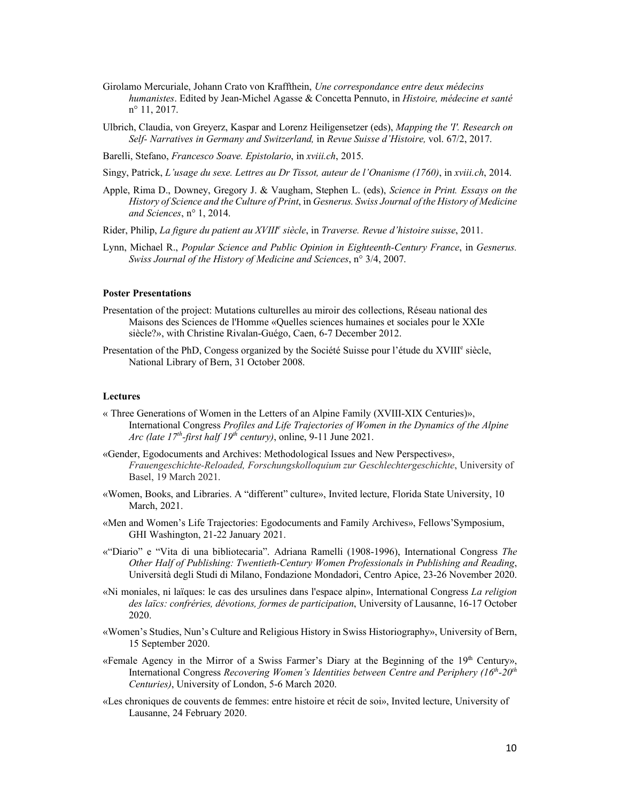- Girolamo Mercuriale, Johann Crato von Kraffthein, *Une correspondance entre deux médecins humanistes*. Edited by Jean-Michel Agasse & Concetta Pennuto, in *Histoire, médecine et santé* n° 11, 2017.
- Ulbrich, Claudia, von Greyerz, Kaspar and Lorenz Heiligensetzer (eds), *Mapping the 'I'. Research on Self- Narratives in Germany and Switzerland,* in *Revue Suisse d'Histoire,* vol. 67/2, 2017.
- Barelli, Stefano, *Francesco Soave. Epistolario*, in *xviii.ch*, 2015.
- Singy, Patrick, *L'usage du sexe. Lettres au Dr Tissot, auteur de l'Onanisme (1760)*, in *xviii.ch*, 2014.
- Apple, Rima D., Downey, Gregory J. & Vaugham, Stephen L. (eds), *Science in Print. Essays on the History of Science and the Culture of Print*, in *Gesnerus. Swiss Journal of the History of Medicine and Sciences*, n° 1, 2014.
- Rider, Philip, *La figure du patient au XVIIIe siècle*, in *Traverse. Revue d'histoire suisse*, 2011.
- Lynn, Michael R., *Popular Science and Public Opinion in Eighteenth-Century France*, in *Gesnerus. Swiss Journal of the History of Medicine and Sciences*, n° 3/4, 2007.

#### **Poster Presentations**

- Presentation of the project: Mutations culturelles au miroir des collections, Réseau national des Maisons des Sciences de l'Homme «Quelles sciences humaines et sociales pour le XXIe siècle?», with Christine Rivalan-Guégo, Caen, 6-7 December 2012.
- Presentation of the PhD, Congess organized by the Société Suisse pour l'étude du XVIII<sup>e</sup> siècle, National Library of Bern, 31 October 2008.

#### **Lectures**

- « Three Generations of Women in the Letters of an Alpine Family (XVIII-XIX Centuries)», International Congress *Profiles and Life Trajectories of Women in the Dynamics of the Alpine Arc (late*  $17^{th}$ *-first half*  $19^{th}$  *century)*, online, 9-11 June 2021.
- «Gender, Egodocuments and Archives: Methodological Issues and New Perspectives», *Frauengeschichte-Reloaded, Forschungskolloquium zur Geschlechtergeschichte*, University of Basel, 19 March 2021.
- «Women, Books, and Libraries. A "different" culture», Invited lecture, Florida State University, 10 March, 2021.
- «Men and Women's Life Trajectories: Egodocuments and Family Archives», Fellows'Symposium, GHI Washington, 21-22 January 2021.
- «"Diario" e "Vita di una bibliotecaria". Adriana Ramelli (1908-1996), International Congress *The Other Half of Publishing: Twentieth-Century Women Professionals in Publishing and Reading*, Università degli Studi di Milano, Fondazione Mondadori, Centro Apice, 23-26 November 2020.
- «Ni moniales, ni laïques: le cas des ursulines dans l'espace alpin», International Congress *La religion des laïcs: confréries, dévotions, formes de participation*, University of Lausanne, 16-17 October 2020.
- «Women's Studies, Nun's Culture and Religious History in Swiss Historiography», University of Bern, 15 September 2020.
- «Female Agency in the Mirror of a Swiss Farmer's Diary at the Beginning of the  $19<sup>th</sup>$  Century», International Congress *Recovering Women's Identities between Centre and Periphery (16<sup>th</sup>-20<sup>th</sup>) Centuries)*, University of London, 5-6 March 2020.
- «Les chroniques de couvents de femmes: entre histoire et récit de soi», Invited lecture, University of Lausanne, 24 February 2020.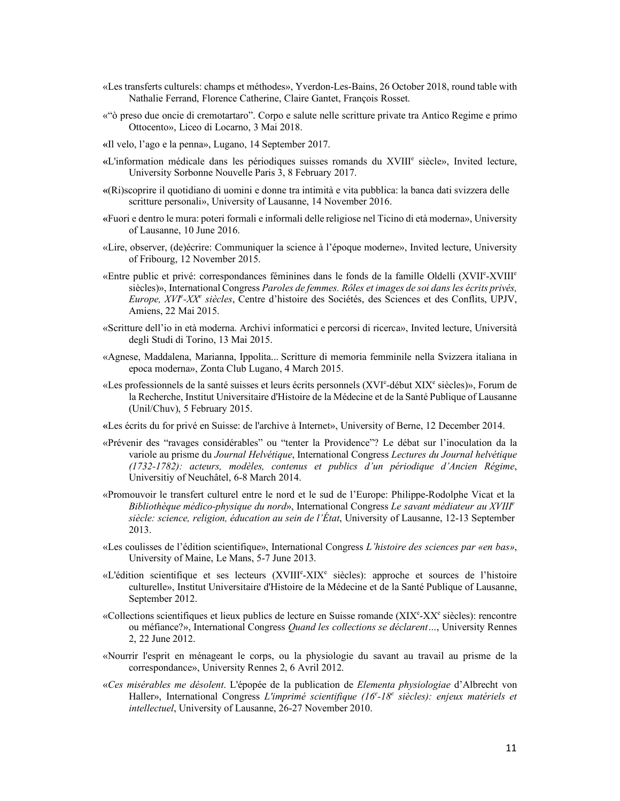- «Les transferts culturels: champs et méthodes», Yverdon-Les-Bains, 26 October 2018, round table with Nathalie Ferrand, Florence Catherine, Claire Gantet, François Rosset.
- «"ò preso due oncie di cremotartaro". Corpo e salute nelle scritture private tra Antico Regime e primo Ottocento», Liceo di Locarno, 3 Mai 2018.
- **«**Il velo, l'ago e la penna», Lugano, 14 September 2017.
- **«**L'information médicale dans les périodiques suisses romands du XVIIIe siècle», Invited lecture, University Sorbonne Nouvelle Paris 3, 8 February 2017.
- **«**(Ri)scoprire il quotidiano di uomini e donne tra intimità e vita pubblica: la banca dati svizzera delle scritture personali», University of Lausanne, 14 November 2016.
- **«**Fuori e dentro le mura: poteri formali e informali delle religiose nel Ticino di età moderna», University of Lausanne, 10 June 2016.
- «Lire, observer, (de)écrire: Communiquer la science à l'époque moderne», Invited lecture, University of Fribourg, 12 November 2015.
- «Entre public et privé: correspondances féminines dans le fonds de la famille Oldelli (XVIIe-XVIIIe siècles)», International Congress *Paroles de femmes. Rôles et images de soi dans les écrits privés, Europe, XVIe -XXe siècles*, Centre d'histoire des Sociétés, des Sciences et des Conflits, UPJV, Amiens, 22 Mai 2015.
- «Scritture dell'io in età moderna. Archivi informatici e percorsi di ricerca», Invited lecture, Università degli Studi di Torino, 13 Mai 2015.
- «Agnese, Maddalena, Marianna, Ippolita... Scritture di memoria femminile nella Svizzera italiana in epoca moderna», Zonta Club Lugano, 4 March 2015.
- «Les professionnels de la santé suisses et leurs écrits personnels (XVI<sup>e</sup>-début XIX<sup>e</sup> siècles)», Forum de la Recherche, Institut Universitaire d'Histoire de la Médecine et de la Santé Publique of Lausanne (Unil/Chuv), 5 February 2015.
- **«**Les écrits du for privé en Suisse: de l'archive à Internet», University of Berne, 12 December 2014.
- «Prévenir des "ravages considérables" ou "tenter la Providence"? Le débat sur l'inoculation da la variole au prisme du *Journal Helvétique*, International Congress *Lectures du Journal helvétique (1732-1782): acteurs, modèles, contenus et publics d'un périodique d'Ancien Régime*, Universitiy of Neuchâtel, 6-8 March 2014.
- «Promouvoir le transfert culturel entre le nord et le sud de l'Europe: Philippe-Rodolphe Vicat et la *Bibliothèque médico-physique du nord*», International Congress *Le savant médiateur au XVIIIe siècle: science, religion, éducation au sein de l'État*, University of Lausanne, 12-13 September 2013.
- «Les coulisses de l'édition scientifique», International Congress *L'histoire des sciences par «en bas»*, University of Maine, Le Mans, 5-7 June 2013.
- «L'édition scientifique et ses lecteurs (XVIII<sup>e</sup>-XIX<sup>e</sup> siècles): approche et sources de l'histoire culturelle», Institut Universitaire d'Histoire de la Médecine et de la Santé Publique of Lausanne, September 2012.
- «Collections scientifiques et lieux publics de lecture en Suisse romande (XIX<sup>e</sup>-XX<sup>e</sup> siècles): rencontre ou méfiance?», International Congress *Quand les collections se déclarent…*, University Rennes 2, 22 June 2012.
- «Nourrir l'esprit en ménageant le corps, ou la physiologie du savant au travail au prisme de la correspondance», University Rennes 2, 6 Avril 2012.
- «*Ces misérables me désolent*. L'épopée de la publication de *Elementa physiologiae* d'Albrecht von Haller», International Congress *L'imprimé scientifique (16e -18<sup>e</sup> siècles): enjeux matériels et intellectuel*, University of Lausanne, 26-27 November 2010.